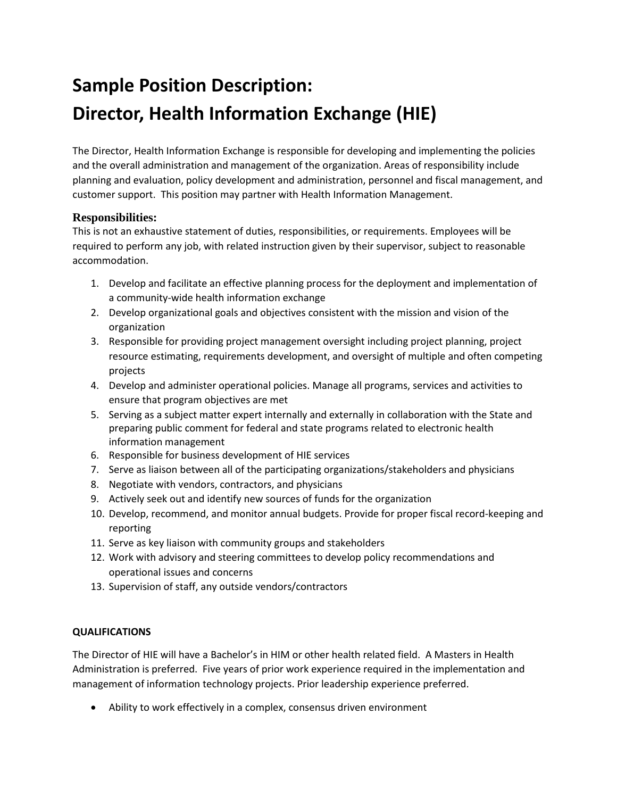## **Sample Position Description: Director, Health Information Exchange (HIE)**

The Director, Health Information Exchange is responsible for developing and implementing the policies and the overall administration and management of the organization. Areas of responsibility include planning and evaluation, policy development and administration, personnel and fiscal management, and customer support. This position may partner with Health Information Management.

## **Responsibilities:**

This is not an exhaustive statement of duties, responsibilities, or requirements. Employees will be required to perform any job, with related instruction given by their supervisor, subject to reasonable accommodation.

- 1. Develop and facilitate an effective planning process for the deployment and implementation of a community-wide health information exchange
- 2. Develop organizational goals and objectives consistent with the mission and vision of the organization
- 3. Responsible for providing project management oversight including project planning, project resource estimating, requirements development, and oversight of multiple and often competing projects
- 4. Develop and administer operational policies. Manage all programs, services and activities to ensure that program objectives are met
- 5. Serving as a subject matter expert internally and externally in collaboration with the State and preparing public comment for federal and state programs related to electronic health information management
- 6. Responsible for business development of HIE services
- 7. Serve as liaison between all of the participating organizations/stakeholders and physicians
- 8. Negotiate with vendors, contractors, and physicians
- 9. Actively seek out and identify new sources of funds for the organization
- 10. Develop, recommend, and monitor annual budgets. Provide for proper fiscal record-keeping and reporting
- 11. Serve as key liaison with community groups and stakeholders
- 12. Work with advisory and steering committees to develop policy recommendations and operational issues and concerns
- 13. Supervision of staff, any outside vendors/contractors

## **QUALIFICATIONS**

The Director of HIE will have a Bachelor's in HIM or other health related field. A Masters in Health Administration is preferred. Five years of prior work experience required in the implementation and management of information technology projects. Prior leadership experience preferred.

• Ability to work effectively in a complex, consensus driven environment